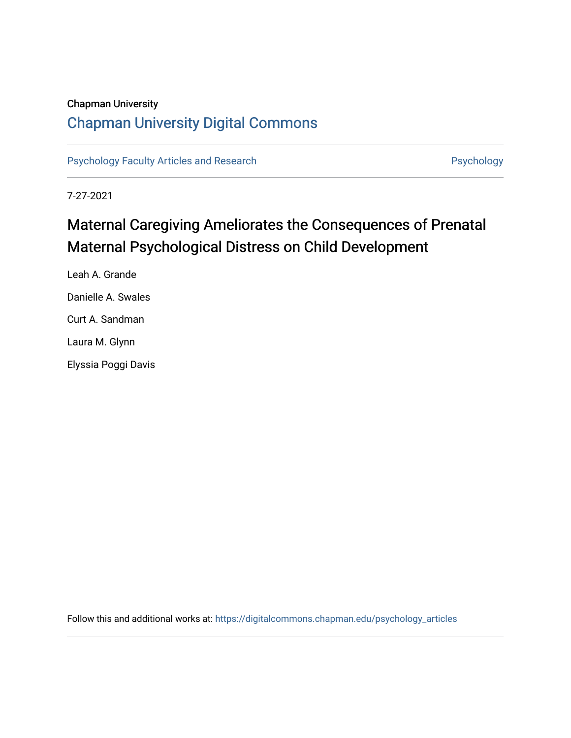## Chapman University

## [Chapman University Digital Commons](https://digitalcommons.chapman.edu/)

[Psychology Faculty Articles and Research](https://digitalcommons.chapman.edu/psychology_articles) **Psychology** Psychology

7-27-2021

# Maternal Caregiving Ameliorates the Consequences of Prenatal Maternal Psychological Distress on Child Development

Leah A. Grande Danielle A. Swales Curt A. Sandman Laura M. Glynn Elyssia Poggi Davis

Follow this and additional works at: [https://digitalcommons.chapman.edu/psychology\\_articles](https://digitalcommons.chapman.edu/psychology_articles?utm_source=digitalcommons.chapman.edu%2Fpsychology_articles%2F260&utm_medium=PDF&utm_campaign=PDFCoverPages)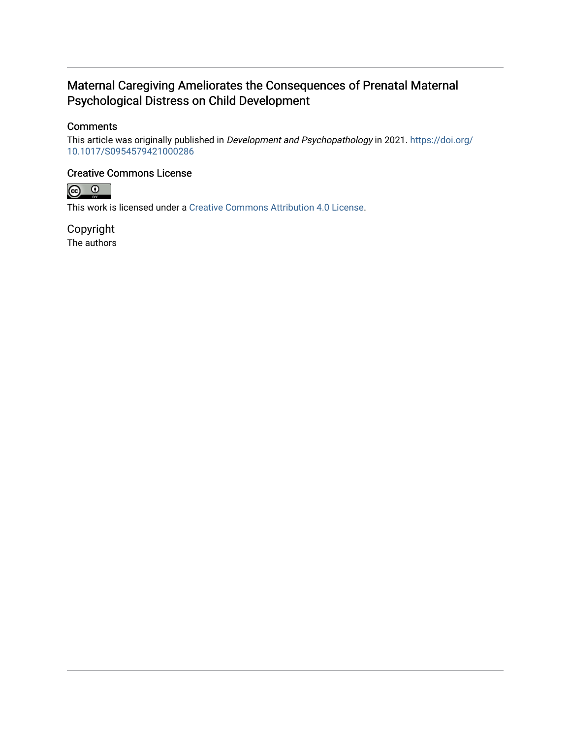## Maternal Caregiving Ameliorates the Consequences of Prenatal Maternal Psychological Distress on Child Development

### **Comments**

This article was originally published in Development and Psychopathology in 2021. [https://doi.org/](https://doi.org/10.1017/S0954579421000286) [10.1017/S0954579421000286](https://doi.org/10.1017/S0954579421000286)

### Creative Commons License



This work is licensed under a [Creative Commons Attribution 4.0 License](https://creativecommons.org/licenses/by/4.0/).

Copyright The authors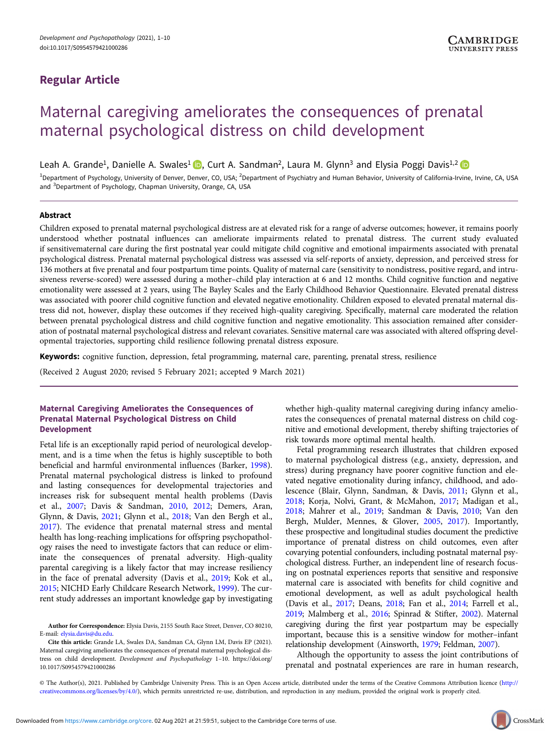### Regular Article

## Maternal caregiving ameliorates the consequences of prenatal maternal psychological distress on child development

Leah A. Grande<sup>1</sup>, Danielle A. Swales<sup>1</sup> **D**, Curt A. Sandman<sup>2</sup>, Laura M. Glynn<sup>3</sup> and Elysia Poggi Davis<sup>1,2</sup> D

<sup>1</sup>Department of Psychology, University of Denver, Denver, CO, USA; <sup>2</sup>Department of Psychiatry and Human Behavior, University of California-Irvine, Irvine, CA, USA and <sup>3</sup>Department of Psychology, Chapman University, Orange, CA, USA

#### Abstract

Children exposed to prenatal maternal psychological distress are at elevated risk for a range of adverse outcomes; however, it remains poorly understood whether postnatal influences can ameliorate impairments related to prenatal distress. The current study evaluated if sensitivematernal care during the first postnatal year could mitigate child cognitive and emotional impairments associated with prenatal psychological distress. Prenatal maternal psychological distress was assessed via self-reports of anxiety, depression, and perceived stress for 136 mothers at five prenatal and four postpartum time points. Quality of maternal care (sensitivity to nondistress, positive regard, and intrusiveness reverse-scored) were assessed during a mother–child play interaction at 6 and 12 months. Child cognitive function and negative emotionality were assessed at 2 years, using The Bayley Scales and the Early Childhood Behavior Questionnaire. Elevated prenatal distress was associated with poorer child cognitive function and elevated negative emotionality. Children exposed to elevated prenatal maternal distress did not, however, display these outcomes if they received high-quality caregiving. Specifically, maternal care moderated the relation between prenatal psychological distress and child cognitive function and negative emotionality. This association remained after consideration of postnatal maternal psychological distress and relevant covariates. Sensitive maternal care was associated with altered offspring developmental trajectories, supporting child resilience following prenatal distress exposure.

Keywords: cognitive function, depression, fetal programming, maternal care, parenting, prenatal stress, resilience

(Received 2 August 2020; revised 5 February 2021; accepted 9 March 2021)

#### Maternal Caregiving Ameliorates the Consequences of Prenatal Maternal Psychological Distress on Child Development

Fetal life is an exceptionally rapid period of neurological development, and is a time when the fetus is highly susceptible to both beneficial and harmful environmental influences (Barker, [1998\)](#page-9-0). Prenatal maternal psychological distress is linked to profound and lasting consequences for developmental trajectories and increases risk for subsequent mental health problems (Davis et al., [2007;](#page-9-0) Davis & Sandman, [2010](#page-10-0), [2012](#page-10-0); Demers, Aran, Glynn, & Davis, [2021](#page-10-0); Glynn et al., [2018;](#page-10-0) Van den Bergh et al., [2017\)](#page-11-0). The evidence that prenatal maternal stress and mental health has long-reaching implications for offspring psychopathology raises the need to investigate factors that can reduce or eliminate the consequences of prenatal adversity. High-quality parental caregiving is a likely factor that may increase resiliency in the face of prenatal adversity (Davis et al., [2019;](#page-9-0) Kok et al., [2015;](#page-10-0) NICHD Early Childcare Research Network, [1999](#page-11-0)). The current study addresses an important knowledge gap by investigating

Cite this article: Grande LA, Swales DA, Sandman CA, Glynn LM, Davis EP (2021). Maternal caregiving ameliorates the consequences of prenatal maternal psychological distress on child development. Development and Psychopathology 1–10. [https://doi.org/](https://doi.org/10.1017/S0954579421000286) [10.1017/S0954579421000286](https://doi.org/10.1017/S0954579421000286)

whether high-quality maternal caregiving during infancy ameliorates the consequences of prenatal maternal distress on child cognitive and emotional development, thereby shifting trajectories of risk towards more optimal mental health.

Fetal programming research illustrates that children exposed to maternal psychological distress (e.g., anxiety, depression, and stress) during pregnancy have poorer cognitive function and elevated negative emotionality during infancy, childhood, and adolescence (Blair, Glynn, Sandman, & Davis, [2011;](#page-9-0) Glynn et al., [2018](#page-10-0); Korja, Nolvi, Grant, & McMahon, [2017;](#page-10-0) Madigan et al., [2018](#page-10-0); Mahrer et al., [2019](#page-10-0); Sandman & Davis, [2010](#page-11-0); Van den Bergh, Mulder, Mennes, & Glover, [2005](#page-11-0), [2017](#page-11-0)). Importantly, these prospective and longitudinal studies document the predictive importance of prenatal distress on child outcomes, even after covarying potential confounders, including postnatal maternal psychological distress. Further, an independent line of research focusing on postnatal experiences reports that sensitive and responsive maternal care is associated with benefits for child cognitive and emotional development, as well as adult psychological health (Davis et al., [2017;](#page-10-0) Deans, [2018;](#page-10-0) Fan et al., [2014;](#page-10-0) Farrell et al., [2019;](#page-10-0) Malmberg et al., [2016](#page-10-0); Spinrad & Stifter, [2002\)](#page-11-0). Maternal caregiving during the first year postpartum may be especially important, because this is a sensitive window for mother–infant relationship development (Ainsworth, [1979;](#page-9-0) Feldman, [2007\)](#page-10-0).

Although the opportunity to assess the joint contributions of prenatal and postnatal experiences are rare in human research,

© The Author(s), 2021. Published by Cambridge University Press. This is an Open Access article, distributed under the terms of the Creative Commons Attribution licence ([http://](http://creativecommons.org/licenses/by/4.0/) [creativecommons.org/licenses/by/4.0/](http://creativecommons.org/licenses/by/4.0/)), which permits unrestricted re-use, distribution, and reproduction in any medium, provided the original work is properly cited.

Author for Correspondence: Elysia Davis, 2155 South Race Street, Denver, CO 80210, E-mail: [elysia.davis@du.edu](mailto:elysia.davis@du.edu).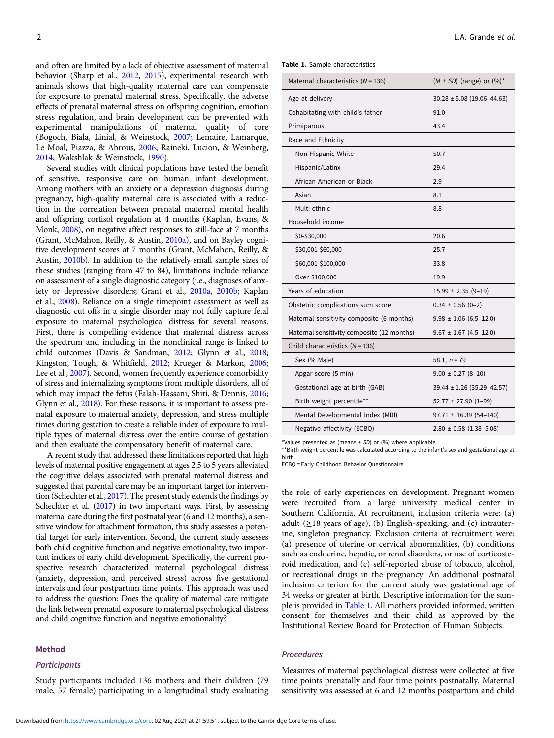<span id="page-3-0"></span>and often are limited by a lack of objective assessment of maternal behavior (Sharp et al., [2012,](#page-11-0) [2015\)](#page-11-0), experimental research with animals shows that high-quality maternal care can compensate for exposure to prenatal maternal stress. Specifically, the adverse effects of prenatal maternal stress on offspring cognition, emotion stress regulation, and brain development can be prevented with experimental manipulations of maternal quality of care (Bogoch, Biala, Linial, & Weinstock, [2007](#page-9-0); Lemaire, Lamarque, Le Moal, Piazza, & Abrous, [2006](#page-10-0); Raineki, Lucion, & Weinberg, [2014;](#page-11-0) Wakshlak & Weinstock, [1990\)](#page-11-0).

Several studies with clinical populations have tested the benefit of sensitive, responsive care on human infant development. Among mothers with an anxiety or a depression diagnosis during pregnancy, high-quality maternal care is associated with a reduction in the correlation between prenatal maternal mental health and offspring cortisol regulation at 4 months (Kaplan, Evans, & Monk, [2008\)](#page-10-0), on negative affect responses to still-face at 7 months (Grant, McMahon, Reilly, & Austin, [2010a](#page-10-0)), and on Bayley cognitive development scores at 7 months (Grant, McMahon, Reilly, & Austin, [2010b\)](#page-10-0). In addition to the relatively small sample sizes of these studies (ranging from 47 to 84), limitations include reliance on assessment of a single diagnostic category (i.e., diagnoses of anxiety or depressive disorders; Grant et al., [2010a,](#page-10-0) [2010b;](#page-10-0) Kaplan et al., [2008\)](#page-10-0). Reliance on a single timepoint assessment as well as diagnostic cut offs in a single disorder may not fully capture fetal exposure to maternal psychological distress for several reasons. First, there is compelling evidence that maternal distress across the spectrum and including in the nonclinical range is linked to child outcomes (Davis & Sandman, [2012](#page-10-0); Glynn et al., [2018;](#page-10-0) Kingston, Tough, & Whitfield, [2012;](#page-10-0) Krueger & Markon, [2006;](#page-10-0) Lee et al., [2007\)](#page-10-0). Second, women frequently experience comorbidity of stress and internalizing symptoms from multiple disorders, all of which may impact the fetus (Falah-Hassani, Shiri, & Dennis, [2016;](#page-10-0) Glynn et al., [2018\)](#page-10-0). For these reasons, it is important to assess prenatal exposure to maternal anxiety, depression, and stress multiple times during gestation to create a reliable index of exposure to multiple types of maternal distress over the entire course of gestation and then evaluate the compensatory benefit of maternal care.

A recent study that addressed these limitations reported that high levels of maternal positive engagement at ages 2.5 to 5 years alleviated the cognitive delays associated with prenatal maternal distress and suggested that parental care may be an important target for intervention (Schechter et al., [2017\)](#page-11-0). The present study extends the findings by Schechter et al. [\(2017\)](#page-11-0) in two important ways. First, by assessing maternal care during the first postnatal year (6 and 12 months), a sensitive window for attachment formation, this study assesses a potential target for early intervention. Second, the current study assesses both child cognitive function and negative emotionality, two important indices of early child development. Specifically, the current prospective research characterized maternal psychological distress (anxiety, depression, and perceived stress) across five gestational intervals and four postpartum time points. This approach was used to address the question: Does the quality of maternal care mitigate the link between prenatal exposure to maternal psychological distress and child cognitive function and negative emotionality?

#### Method

#### **Participants**

Study participants included 136 mothers and their children (79 male, 57 female) participating in a longitudinal study evaluating

|  | Table 1. Sample characteristics |
|--|---------------------------------|
|  |                                 |

| Maternal characteristics ( $N = 136$ )     | $(M \pm SD)$ (range) or $(\%)^*$ |
|--------------------------------------------|----------------------------------|
| Age at delivery                            | $30.28 \pm 5.08$ (19.06-44.63)   |
| Cohabitating with child's father           | 91.0                             |
| Primiparous                                | 43.4                             |
| Race and Ethnicity                         |                                  |
| Non-Hispanic White                         | 50.7                             |
| Hispanic/Latinx                            | 29.4                             |
| African American or Black                  | 2.9                              |
| Asian                                      | 8.1                              |
| Multi-ethnic                               | 8.8                              |
| Household income                           |                                  |
| \$0-\$30,000                               | 20.6                             |
| \$30,001-\$60,000                          | 25.7                             |
| \$60,001-\$100,000                         | 33.8                             |
| Over \$100,000                             | 19.9                             |
| Years of education                         | $15.99 \pm 2.35 (9 - 19)$        |
| Obstetric complications sum score          | $0.34 \pm 0.56$ (0-2)            |
| Maternal sensitivity composite (6 months)  | $9.98 \pm 1.06$ (6.5-12.0)       |
| Maternal sensitivity composite (12 months) | $9.67 \pm 1.67$ (4.5-12.0)       |
| Child characteristics $(N = 136)$          |                                  |
| Sex (% Male)                               | 58.1, $n = 79$                   |
| Apgar score (5 min)                        | $9.00 \pm 0.27$ (8-10)           |
| Gestational age at birth (GAB)             | 39.44 ± 1.26 (35.29-42.57)       |
| Birth weight percentile**                  | $52.77 \pm 27.90$ (1-99)         |
| Mental Developmental Index (MDI)           | $97.71 \pm 16.39$ (54-140)       |
| Negative affectivity (ECBQ)                | $2.80 \pm 0.58$ (1.38-5.08)      |

\*Values presented as (means  $\pm$  SD) or (%) where applicable.

\*\*Birth weight percentile was calculated according to the infant's sex and gestational age at birth.

ECBQ = Early Childhood Behavior Questionnaire

the role of early experiences on development. Pregnant women were recruited from a large university medical center in Southern California. At recruitment, inclusion criteria were: (a) adult  $(\geq 18$  years of age), (b) English-speaking, and (c) intrauterine, singleton pregnancy. Exclusion criteria at recruitment were: (a) presence of uterine or cervical abnormalities, (b) conditions such as endocrine, hepatic, or renal disorders, or use of corticosteroid medication, and (c) self-reported abuse of tobacco, alcohol, or recreational drugs in the pregnancy. An additional postnatal inclusion criterion for the current study was gestational age of 34 weeks or greater at birth. Descriptive information for the sample is provided in Table 1. All mothers provided informed, written consent for themselves and their child as approved by the Institutional Review Board for Protection of Human Subjects.

#### Procedures

Measures of maternal psychological distress were collected at five time points prenatally and four time points postnatally. Maternal sensitivity was assessed at 6 and 12 months postpartum and child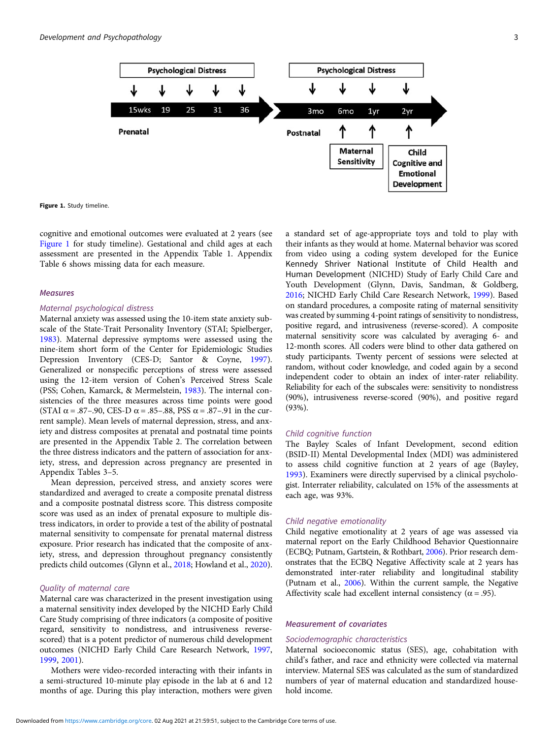

Figure 1. Study timeline.

cognitive and emotional outcomes were evaluated at 2 years (see Figure 1 for study timeline). Gestational and child ages at each assessment are presented in the Appendix Table 1. Appendix Table 6 shows missing data for each measure.

#### Measures

#### Maternal psychological distress

Maternal anxiety was assessed using the 10-item state anxiety subscale of the State-Trait Personality Inventory (STAI; Spielberger, [1983\)](#page-11-0). Maternal depressive symptoms were assessed using the nine-item short form of the Center for Epidemiologic Studies Depression Inventory (CES-D; Santor & Coyne, [1997\)](#page-11-0). Generalized or nonspecific perceptions of stress were assessed using the 12-item version of Cohen's Perceived Stress Scale (PSS; Cohen, Kamarck, & Mermelstein, [1983\)](#page-9-0). The internal consistencies of the three measures across time points were good (STAI  $\alpha$  = .87–.90, CES-D  $\alpha$  = .85–.88, PSS  $\alpha$  = .87–.91 in the current sample). Mean levels of maternal depression, stress, and anxiety and distress composites at prenatal and postnatal time points are presented in the Appendix Table 2. The correlation between the three distress indicators and the pattern of association for anxiety, stress, and depression across pregnancy are presented in Appendix Tables 3–5.

Mean depression, perceived stress, and anxiety scores were standardized and averaged to create a composite prenatal distress and a composite postnatal distress score. This distress composite score was used as an index of prenatal exposure to multiple distress indicators, in order to provide a test of the ability of postnatal maternal sensitivity to compensate for prenatal maternal distress exposure. Prior research has indicated that the composite of anxiety, stress, and depression throughout pregnancy consistently predicts child outcomes (Glynn et al., [2018;](#page-10-0) Howland et al., [2020\)](#page-10-0).

#### Quality of maternal care

Maternal care was characterized in the present investigation using a maternal sensitivity index developed by the NICHD Early Child Care Study comprising of three indicators (a composite of positive regard, sensitivity to nondistress, and intrusiveness reversescored) that is a potent predictor of numerous child development outcomes (NICHD Early Child Care Research Network, [1997,](#page-10-0) [1999,](#page-11-0) [2001](#page-11-0)).

Mothers were video-recorded interacting with their infants in a semi-structured 10-minute play episode in the lab at 6 and 12 months of age. During this play interaction, mothers were given

a standard set of age-appropriate toys and told to play with their infants as they would at home. Maternal behavior was scored from video using a coding system developed for the Eunice Kennedy Shriver National Institute of Child Health and Human Development (NICHD) Study of Early Child Care and Youth Development (Glynn, Davis, Sandman, & Goldberg, [2016](#page-10-0); NICHD Early Child Care Research Network, [1999](#page-11-0)). Based on standard procedures, a composite rating of maternal sensitivity was created by summing 4-point ratings of sensitivity to nondistress, positive regard, and intrusiveness (reverse-scored). A composite maternal sensitivity score was calculated by averaging 6- and 12-month scores. All coders were blind to other data gathered on study participants. Twenty percent of sessions were selected at random, without coder knowledge, and coded again by a second independent coder to obtain an index of inter-rater reliability. Reliability for each of the subscales were: sensitivity to nondistress (90%), intrusiveness reverse-scored (90%), and positive regard (93%).

#### Child cognitive function

The Bayley Scales of Infant Development, second edition (BSID-II) Mental Developmental Index (MDI) was administered to assess child cognitive function at 2 years of age (Bayley, [1993](#page-9-0)). Examiners were directly supervised by a clinical psychologist. Interrater reliability, calculated on 15% of the assessments at each age, was 93%.

#### Child negative emotionality

Child negative emotionality at 2 years of age was assessed via maternal report on the Early Childhood Behavior Questionnaire (ECBQ; Putnam, Gartstein, & Rothbart, [2006](#page-11-0)). Prior research demonstrates that the ECBQ Negative Affectivity scale at 2 years has demonstrated inter-rater reliability and longitudinal stability (Putnam et al., [2006](#page-11-0)). Within the current sample, the Negative Affectivity scale had excellent internal consistency ( $\alpha$  = .95).

#### Measurement of covariates

#### Sociodemographic characteristics

Maternal socioeconomic status (SES), age, cohabitation with child's father, and race and ethnicity were collected via maternal interview. Maternal SES was calculated as the sum of standardized numbers of year of maternal education and standardized household income.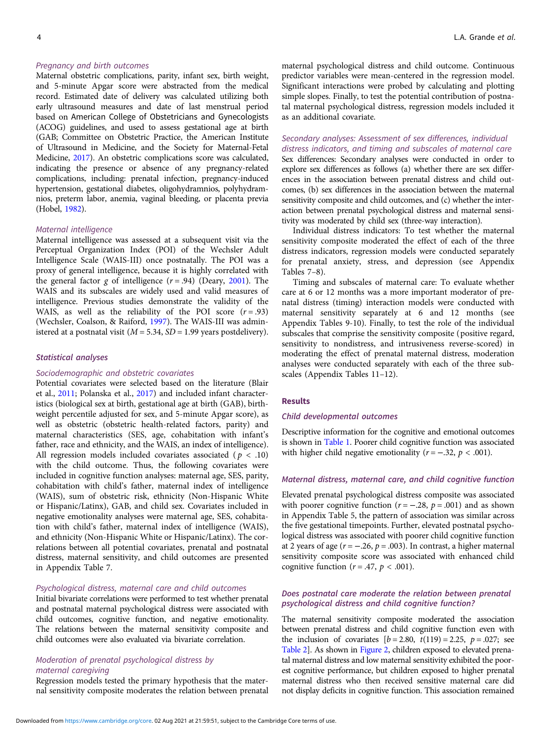#### Pregnancy and birth outcomes

Maternal obstetric complications, parity, infant sex, birth weight, and 5-minute Apgar score were abstracted from the medical record. Estimated date of delivery was calculated utilizing both early ultrasound measures and date of last menstrual period based on American College of Obstetricians and Gynecologists (ACOG) guidelines, and used to assess gestational age at birth (GAB; Committee on Obstetric Practice, the American Institute of Ultrasound in Medicine, and the Society for Maternal-Fetal Medicine, [2017](#page-9-0)). An obstetric complications score was calculated, indicating the presence or absence of any pregnancy-related complications, including: prenatal infection, pregnancy-induced hypertension, gestational diabetes, oligohydramnios, polyhydramnios, preterm labor, anemia, vaginal bleeding, or placenta previa (Hobel, [1982](#page-10-0)).

#### Maternal intelligence

Maternal intelligence was assessed at a subsequent visit via the Perceptual Organization Index (POI) of the Wechsler Adult Intelligence Scale (WAIS-III) once postnatally. The POI was a proxy of general intelligence, because it is highly correlated with the general factor  $g$  of intelligence  $(r = .94)$  (Deary, [2001\)](#page-10-0). The WAIS and its subscales are widely used and valid measures of intelligence. Previous studies demonstrate the validity of the WAIS, as well as the reliability of the POI score  $(r=.93)$ (Wechsler, Coalson, & Raiford, [1997\)](#page-11-0). The WAIS-III was administered at a postnatal visit ( $M = 5.34$ ,  $SD = 1.99$  years postdelivery).

#### Statistical analyses

#### Sociodemographic and obstetric covariates

Potential covariates were selected based on the literature (Blair et al., [2011](#page-9-0); Polanska et al., [2017](#page-11-0)) and included infant characteristics (biological sex at birth, gestational age at birth (GAB), birthweight percentile adjusted for sex, and 5-minute Apgar score), as well as obstetric (obstetric health-related factors, parity) and maternal characteristics (SES, age, cohabitation with infant's father, race and ethnicity, and the WAIS, an index of intelligence). All regression models included covariates associated ( $p < .10$ ) with the child outcome. Thus, the following covariates were included in cognitive function analyses: maternal age, SES, parity, cohabitation with child's father, maternal index of intelligence (WAIS), sum of obstetric risk, ethnicity (Non-Hispanic White or Hispanic/Latinx), GAB, and child sex. Covariates included in negative emotionality analyses were maternal age, SES, cohabitation with child's father, maternal index of intelligence (WAIS), and ethnicity (Non-Hispanic White or Hispanic/Latinx). The correlations between all potential covariates, prenatal and postnatal distress, maternal sensitivity, and child outcomes are presented in Appendix Table 7.

#### Psychological distress, maternal care and child outcomes

Initial bivariate correlations were performed to test whether prenatal and postnatal maternal psychological distress were associated with child outcomes, cognitive function, and negative emotionality. The relations between the maternal sensitivity composite and child outcomes were also evaluated via bivariate correlation.

#### Moderation of prenatal psychological distress by maternal caregiving

Regression models tested the primary hypothesis that the maternal sensitivity composite moderates the relation between prenatal maternal psychological distress and child outcome. Continuous predictor variables were mean-centered in the regression model. Significant interactions were probed by calculating and plotting simple slopes. Finally, to test the potential contribution of postnatal maternal psychological distress, regression models included it as an additional covariate.

#### Secondary analyses: Assessment of sex differences, individual distress indicators, and timing and subscales of maternal care

Sex differences: Secondary analyses were conducted in order to explore sex differences as follows (a) whether there are sex differences in the association between prenatal distress and child outcomes, (b) sex differences in the association between the maternal sensitivity composite and child outcomes, and (c) whether the interaction between prenatal psychological distress and maternal sensitivity was moderated by child sex (three-way interaction).

Individual distress indicators: To test whether the maternal sensitivity composite moderated the effect of each of the three distress indicators, regression models were conducted separately for prenatal anxiety, stress, and depression (see Appendix Tables 7–8).

Timing and subscales of maternal care: To evaluate whether care at 6 or 12 months was a more important moderator of prenatal distress (timing) interaction models were conducted with maternal sensitivity separately at 6 and 12 months (see Appendix Tables 9-10). Finally, to test the role of the individual subscales that comprise the sensitivity composite (positive regard, sensitivity to nondistress, and intrusiveness reverse-scored) in moderating the effect of prenatal maternal distress, moderation analyses were conducted separately with each of the three subscales (Appendix Tables 11–12).

#### Results

#### Child developmental outcomes

Descriptive information for the cognitive and emotional outcomes is shown in [Table 1](#page-3-0). Poorer child cognitive function was associated with higher child negative emotionality ( $r = -.32$ ,  $p < .001$ ).

#### Maternal distress, maternal care, and child cognitive function

Elevated prenatal psychological distress composite was associated with poorer cognitive function ( $r = -.28$ ,  $p = .001$ ) and as shown in Appendix Table 5, the pattern of association was similar across the five gestational timepoints. Further, elevated postnatal psychological distress was associated with poorer child cognitive function at 2 years of age  $(r = -.26, p = .003)$ . In contrast, a higher maternal sensitivity composite score was associated with enhanced child cognitive function ( $r = .47$ ,  $p < .001$ ).

#### Does postnatal care moderate the relation between prenatal psychological distress and child cognitive function?

The maternal sensitivity composite moderated the association between prenatal distress and child cognitive function even with the inclusion of covariates  $[b = 2.80, t(119) = 2.25, p = .027;$  see [Table 2](#page-6-0)]. As shown in [Figure 2](#page-6-0), children exposed to elevated prenatal maternal distress and low maternal sensitivity exhibited the poorest cognitive performance, but children exposed to higher prenatal maternal distress who then received sensitive maternal care did not display deficits in cognitive function. This association remained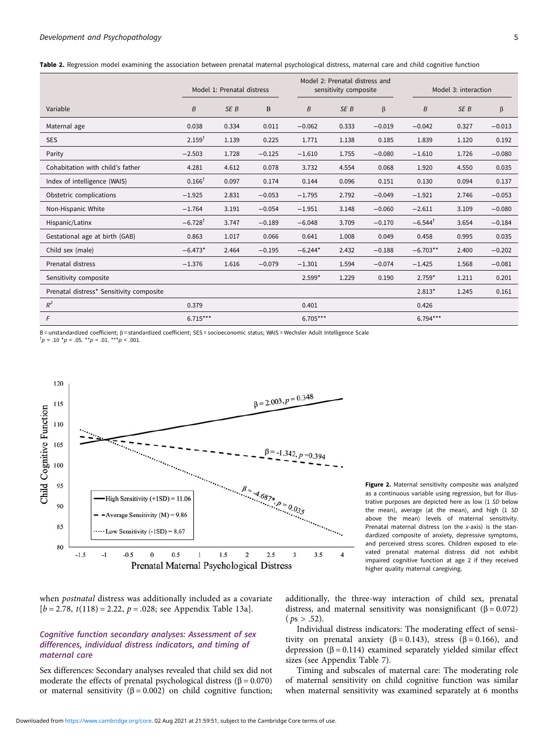<span id="page-6-0"></span>

|  |  |  |  | Table 2. Regression model examining the association between prenatal maternal psychological distress, maternal care and child cognitive function |  |  |  |  |  |  |
|--|--|--|--|--------------------------------------------------------------------------------------------------------------------------------------------------|--|--|--|--|--|--|
|--|--|--|--|--------------------------------------------------------------------------------------------------------------------------------------------------|--|--|--|--|--|--|

|                                          | Model 1: Prenatal distress |                 |          | Model 2: Prenatal distress and<br>sensitivity composite |                 |          | Model 3: interaction  |                 |          |
|------------------------------------------|----------------------------|-----------------|----------|---------------------------------------------------------|-----------------|----------|-----------------------|-----------------|----------|
| Variable                                 | B                          | SE <sub>B</sub> | B        | B                                                       | SE <sub>B</sub> | β        | B                     | SE <sub>B</sub> | β        |
| Maternal age                             | 0.038                      | 0.334           | 0.011    | $-0.062$                                                | 0.333           | $-0.019$ | $-0.042$              | 0.327           | $-0.013$ |
| <b>SES</b>                               | $2.159^{†}$                | 1.139           | 0.225    | 1.771                                                   | 1.138           | 0.185    | 1.839                 | 1.120           | 0.192    |
| Parity                                   | $-2.503$                   | 1.728           | $-0.125$ | $-1.610$                                                | 1.755           | $-0.080$ | $-1.610$              | 1.726           | $-0.080$ |
| Cohabitation with child's father         | 4.281                      | 4.612           | 0.078    | 3.732                                                   | 4.554           | 0.068    | 1.920                 | 4.550           | 0.035    |
| Index of intelligence (WAIS)             | $0.166^T$                  | 0.097           | 0.174    | 0.144                                                   | 0.096           | 0.151    | 0.130                 | 0.094           | 0.137    |
| Obstetric complications                  | $-1.925$                   | 2.831           | $-0.053$ | $-1.795$                                                | 2.792           | $-0.049$ | $-1.921$              | 2.746           | $-0.053$ |
| Non-Hispanic White                       | $-1.764$                   | 3.191           | $-0.054$ | $-1.951$                                                | 3.148           | $-0.060$ | $-2.611$              | 3.109           | $-0.080$ |
| Hispanic/Latinx                          | $-6.728$ <sup>T</sup>      | 3.747           | $-0.189$ | $-6.048$                                                | 3.709           | $-0.170$ | $-6.544$ <sup>T</sup> | 3.654           | $-0.184$ |
| Gestational age at birth (GAB)           | 0.863                      | 1.017           | 0.066    | 0.641                                                   | 1.008           | 0.049    | 0.458                 | 0.995           | 0.035    |
| Child sex (male)                         | $-6.473*$                  | 2.464           | $-0.195$ | $-6.244*$                                               | 2.432           | $-0.188$ | $-6.703**$            | 2.400           | $-0.202$ |
| Prenatal distress                        | $-1.376$                   | 1.616           | $-0.079$ | $-1.301$                                                | 1.594           | $-0.074$ | $-1.425$              | 1.568           | $-0.081$ |
| Sensitivity composite                    |                            |                 |          | $2.599*$                                                | 1.229           | 0.190    | $2.759*$              | 1.211           | 0.201    |
| Prenatal distress* Sensitivity composite |                            |                 |          |                                                         |                 |          | $2.813*$              | 1.245           | 0.161    |
| $R^2$                                    | 0.379                      |                 |          | 0.401                                                   |                 |          | 0.426                 |                 |          |
| F                                        | $6.715***$                 |                 |          | $6.705***$                                              |                 |          | $6.794***$            |                 |          |

B = unstandardized coefficient; <sup>β</sup> = standardized coefficient; SES = socioeconomic status; WAIS = Wechsler Adult Intelligence Scale †

 $^{\dagger}p$  < .10  $^{\star}p$  < .05. \*\*p < .01. \*\*\*p < .001.



when postnatal distress was additionally included as a covariate  $[b = 2.78, t(118) = 2.22, p = .028;$  see Appendix Table 13a].

#### Cognitive function secondary analyses: Assessment of sex differences, individual distress indicators, and timing of maternal care

Sex differences: Secondary analyses revealed that child sex did not moderate the effects of prenatal psychological distress ( $\beta$  = 0.070) or maternal sensitivity ( $\beta$  = 0.002) on child cognitive function; Figure 2. Maternal sensitivity composite was analyzed as a continuous variable using regression, but for illustrative purposes are depicted here as low (1 SD below the mean), average (at the mean), and high (1 SD above the mean) levels of maternal sensitivity. Prenatal maternal distress (on the  $x$ -axis) is the standardized composite of anxiety, depressive symptoms, and perceived stress scores. Children exposed to elevated prenatal maternal distress did not exhibit impaired cognitive function at age 2 if they received higher quality maternal caregiving.

additionally, the three-way interaction of child sex, prenatal distress, and maternal sensitivity was nonsignificant ( $\beta = 0.072$ )  $(ps > .52).$ 

Individual distress indicators: The moderating effect of sensitivity on prenatal anxiety ( $\beta = 0.143$ ), stress ( $\beta = 0.166$ ), and depression ( $β = 0.114$ ) examined separately yielded similar effect sizes (see Appendix Table 7).

Timing and subscales of maternal care: The moderating role of maternal sensitivity on child cognitive function was similar when maternal sensitivity was examined separately at 6 months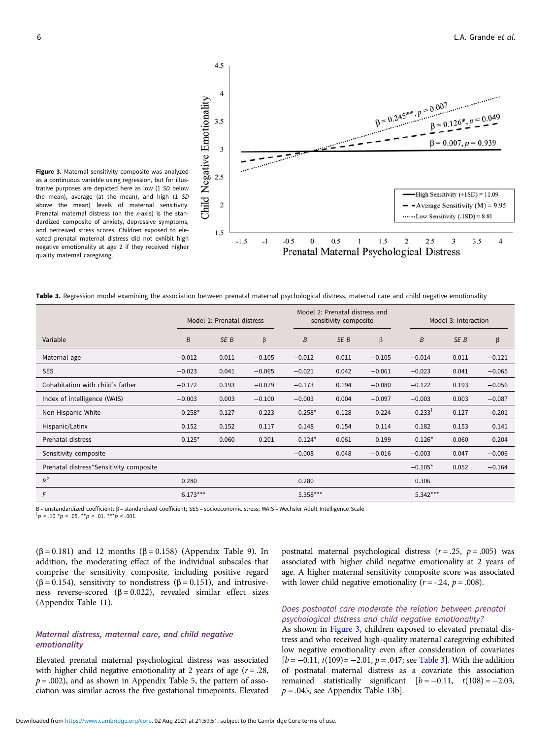

Figure 3. Maternal sensitivity composite was analyzed as a continuous variable using regression, but for illustrative purposes are depicted here as low (1 SD below the mean), average (at the mean), and high (1 SD above the mean) levels of maternal sensitivity. Prenatal maternal distress (on the x-axis) is the standardized composite of anxiety, depressive symptoms, and perceived stress scores. Children exposed to elevated prenatal maternal distress did not exhibit high negative emotionality at age 2 if they received higher quality maternal caregiving.

Table 3. Regression model examining the association between prenatal maternal psychological distress, maternal care and child negative emotionality

|                                         | Model 1: Prenatal distress |       |          |           | Model 2: Prenatal distress and<br>sensitivity composite |          |                       | Model 3: Interaction |          |  |
|-----------------------------------------|----------------------------|-------|----------|-----------|---------------------------------------------------------|----------|-----------------------|----------------------|----------|--|
| Variable                                | B                          | SE B  | $\beta$  | B         | SE B                                                    | $\beta$  | $\boldsymbol{B}$      | SE B                 | β        |  |
| Maternal age                            | $-0.012$                   | 0.011 | $-0.105$ | $-0.012$  | 0.011                                                   | $-0.105$ | $-0.014$              | 0.011                | $-0.121$ |  |
| <b>SES</b>                              | $-0.023$                   | 0.041 | $-0.065$ | $-0.021$  | 0.042                                                   | $-0.061$ | $-0.023$              | 0.041                | $-0.065$ |  |
| Cohabitation with child's father        | $-0.172$                   | 0.193 | $-0.079$ | $-0.173$  | 0.194                                                   | $-0.080$ | $-0.122$              | 0.193                | $-0.056$ |  |
| Index of intelligence (WAIS)            | $-0.003$                   | 0.003 | $-0.100$ | $-0.003$  | 0.004                                                   | $-0.097$ | $-0.003$              | 0.003                | $-0.087$ |  |
| Non-Hispanic White                      | $-0.258*$                  | 0.127 | $-0.223$ | $-0.258*$ | 0.128                                                   | $-0.224$ | $-0.233$ <sup>T</sup> | 0.127                | $-0.201$ |  |
| Hispanic/Latinx                         | 0.152                      | 0.152 | 0.117    | 0.148     | 0.154                                                   | 0.114    | 0.182                 | 0.153                | 0.141    |  |
| Prenatal distress                       | $0.125*$                   | 0.060 | 0.201    | $0.124*$  | 0.061                                                   | 0.199    | $0.126*$              | 0.060                | 0.204    |  |
| Sensitivity composite                   |                            |       |          | $-0.008$  | 0.048                                                   | $-0.016$ | $-0.003$              | 0.047                | $-0.006$ |  |
| Prenatal distress*Sensitivity composite |                            |       |          |           |                                                         |          | $-0.105*$             | 0.052                | $-0.164$ |  |
| $R^2$                                   | 0.280                      |       |          | 0.280     |                                                         |          | 0.306                 |                      |          |  |
| F                                       | $6.173***$                 |       |          | 5.358***  |                                                         |          | 5.342***              |                      |          |  |

B = unstandardized coefficient; <sup>β</sup> = standardized coefficient; SES = socioeconomic stress; WAIS = Wechsler Adult Intelligence Scale †

 $^{\dagger}p < .10$  \* $p < .05$ . \*\* $p < .01$ . \*\*\* $p < .001$ .

emotionality

( $\beta$  = 0.181) and 12 months ( $\beta$  = 0.158) (Appendix Table 9). In addition, the moderating effect of the individual subscales that comprise the sensitivity composite, including positive regard ( $\beta$  = 0.154), sensitivity to nondistress ( $\beta$  = 0.151), and intrusiveness reverse-scored ( $\beta$  = 0.022), revealed similar effect sizes (Appendix Table 11).

Elevated prenatal maternal psychological distress was associated with higher child negative emotionality at 2 years of age  $(r=.28, ...)$  $p = .002$ ), and as shown in Appendix Table 5, the pattern of association was similar across the five gestational timepoints. Elevated

Maternal distress, maternal care, and child negative

postnatal maternal psychological distress  $(r = .25, p = .005)$  was associated with higher child negative emotionality at 2 years of age. A higher maternal sensitivity composite score was associated with lower child negative emotionality ( $r = -.24$ ,  $p = .008$ ).

#### Does postnatal care moderate the relation between prenatal psychological distress and child negative emotionality?

As shown in Figure 3, children exposed to elevated prenatal distress and who received high-quality maternal caregiving exhibited low negative emotionality even after consideration of covariates  $[b = -0.11, t(109) = -2.01, p = .047;$  see Table 3]. With the addition of postnatal maternal distress as a covariate this association remained statistically significant  $[b = -0.11, t(108) = -2.03,$  $p = .045$ ; see Appendix Table 13b].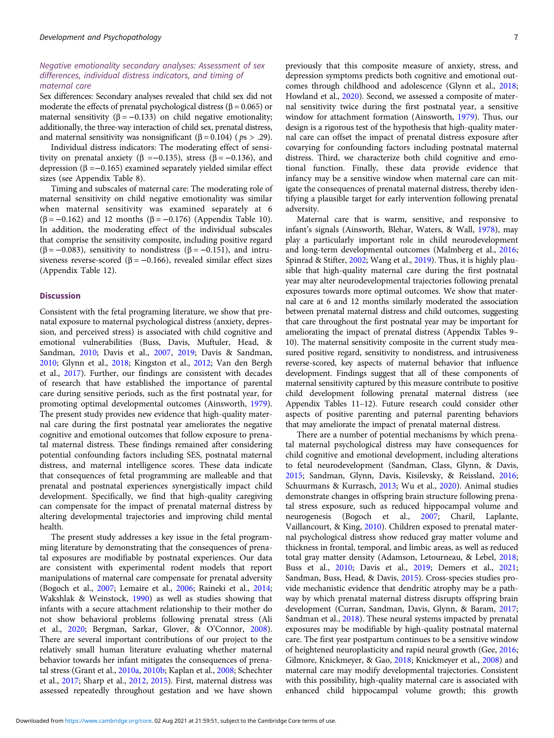#### Negative emotionality secondary analyses: Assessment of sex differences, individual distress indicators, and timing of maternal care

Sex differences: Secondary analyses revealed that child sex did not moderate the effects of prenatal psychological distress ( $\beta$  = 0.065) or maternal sensitivity ( $\beta = -0.133$ ) on child negative emotionality; additionally, the three-way interaction of child sex, prenatal distress, and maternal sensitivity was nonsignificant ( $\beta$  = 0.104) ( $p_s$  > .29).

Individual distress indicators: The moderating effect of sensitivity on prenatal anxiety ( $\beta = -0.135$ ), stress ( $\beta = -0.136$ ), and depression (β =−0.165) examined separately yielded similar effect sizes (see Appendix Table 8).

Timing and subscales of maternal care: The moderating role of maternal sensitivity on child negative emotionality was similar when maternal sensitivity was examined separately at 6 (β = −0.162) and 12 months (β = −0.176) (Appendix Table 10). In addition, the moderating effect of the individual subscales that comprise the sensitivity composite, including positive regard ( $\beta$  = −0.083), sensitivity to nondistress ( $\beta$  = −0.151), and intrusiveness reverse-scored ( $\beta$  = -0.166), revealed similar effect sizes (Appendix Table 12).

#### **Discussion**

Consistent with the fetal programing literature, we show that prenatal exposure to maternal psychological distress (anxiety, depression, and perceived stress) is associated with child cognitive and emotional vulnerabilities (Buss, Davis, Muftuler, Head, & Sandman, [2010;](#page-9-0) Davis et al., [2007](#page-9-0), [2019;](#page-9-0) Davis & Sandman, [2010;](#page-10-0) Glynn et al., [2018](#page-10-0); Kingston et al., [2012;](#page-10-0) Van den Bergh et al., [2017\)](#page-11-0). Further, our findings are consistent with decades of research that have established the importance of parental care during sensitive periods, such as the first postnatal year, for promoting optimal developmental outcomes (Ainsworth, [1979\)](#page-9-0). The present study provides new evidence that high-quality maternal care during the first postnatal year ameliorates the negative cognitive and emotional outcomes that follow exposure to prenatal maternal distress. These findings remained after considering potential confounding factors including SES, postnatal maternal distress, and maternal intelligence scores. These data indicate that consequences of fetal programming are malleable and that prenatal and postnatal experiences synergistically impact child development. Specifically, we find that high-quality caregiving can compensate for the impact of prenatal maternal distress by altering developmental trajectories and improving child mental health.

The present study addresses a key issue in the fetal programming literature by demonstrating that the consequences of prenatal exposures are modifiable by postnatal experiences. Our data are consistent with experimental rodent models that report manipulations of maternal care compensate for prenatal adversity (Bogoch et al., [2007](#page-9-0); Lemaire et al., [2006;](#page-10-0) Raineki et al., [2014;](#page-11-0) Wakshlak & Weinstock, [1990](#page-11-0)) as well as studies showing that infants with a secure attachment relationship to their mother do not show behavioral problems following prenatal stress (Ali et al., [2020;](#page-9-0) Bergman, Sarkar, Glover, & O'Connor, [2008\)](#page-9-0). There are several important contributions of our project to the relatively small human literature evaluating whether maternal behavior towards her infant mitigates the consequences of prenatal stress (Grant et al., [2010a](#page-10-0), [2010b;](#page-10-0) Kaplan et al., [2008;](#page-10-0) Schechter et al., [2017](#page-11-0); Sharp et al., [2012,](#page-11-0) [2015\)](#page-11-0). First, maternal distress was assessed repeatedly throughout gestation and we have shown

previously that this composite measure of anxiety, stress, and depression symptoms predicts both cognitive and emotional outcomes through childhood and adolescence (Glynn et al., [2018](#page-10-0); Howland et al., [2020\)](#page-10-0). Second, we assessed a composite of maternal sensitivity twice during the first postnatal year, a sensitive window for attachment formation (Ainsworth, [1979\)](#page-9-0). Thus, our design is a rigorous test of the hypothesis that high-quality maternal care can offset the impact of prenatal distress exposure after covarying for confounding factors including postnatal maternal distress. Third, we characterize both child cognitive and emotional function. Finally, these data provide evidence that infancy may be a sensitive window when maternal care can mitigate the consequences of prenatal maternal distress, thereby identifying a plausible target for early intervention following prenatal adversity.

Maternal care that is warm, sensitive, and responsive to infant's signals (Ainsworth, Blehar, Waters, & Wall, [1978\)](#page-9-0), may play a particularly important role in child neurodevelopment and long-term developmental outcomes (Malmberg et al., [2016](#page-10-0); Spinrad & Stifter, [2002;](#page-11-0) Wang et al., [2019](#page-11-0)). Thus, it is highly plausible that high-quality maternal care during the first postnatal year may alter neurodevelopmental trajectories following prenatal exposures towards more optimal outcomes. We show that maternal care at 6 and 12 months similarly moderated the association between prenatal maternal distress and child outcomes, suggesting that care throughout the first postnatal year may be important for ameliorating the impact of prenatal distress (Appendix Tables 9– 10). The maternal sensitivity composite in the current study measured positive regard, sensitivity to nondistress, and intrusiveness reverse-scored, key aspects of maternal behavior that influence development. Findings suggest that all of these components of maternal sensitivity captured by this measure contribute to positive child development following prenatal maternal distress (see Appendix Tables 11–12). Future research could consider other aspects of positive parenting and paternal parenting behaviors that may ameliorate the impact of prenatal maternal distress.

There are a number of potential mechanisms by which prenatal maternal psychological distress may have consequences for child cognitive and emotional development, including alterations to fetal neurodevelopment (Sandman, Class, Glynn, & Davis, [2015](#page-11-0); Sandman, Glynn, Davis, Kisilevsky, & Reissland, [2016](#page-11-0); Schuurmans & Kurrasch, [2013;](#page-11-0) Wu et al., [2020](#page-11-0)). Animal studies demonstrate changes in offspring brain structure following prenatal stress exposure, such as reduced hippocampal volume and neurogenesis (Bogoch et al., [2007](#page-9-0); Charil, Laplante, Vaillancourt, & King, [2010\)](#page-9-0). Children exposed to prenatal maternal psychological distress show reduced gray matter volume and thickness in frontal, temporal, and limbic areas, as well as reduced total gray matter density (Adamson, Letourneau, & Lebel, [2018](#page-9-0); Buss et al., [2010;](#page-9-0) Davis et al., [2019](#page-9-0); Demers et al., [2021](#page-10-0); Sandman, Buss, Head, & Davis, [2015](#page-11-0)). Cross-species studies provide mechanistic evidence that dendritic atrophy may be a pathway by which prenatal maternal distress disrupts offspring brain development (Curran, Sandman, Davis, Glynn, & Baram, [2017](#page-9-0); Sandman et al., [2018](#page-11-0)). These neural systems impacted by prenatal exposures may be modifiable by high-quality postnatal maternal care. The first year postpartum continues to be a sensitive window of heightened neuroplasticity and rapid neural growth (Gee, [2016](#page-10-0); Gilmore, Knickmeyer, & Gao, [2018](#page-10-0); Knickmeyer et al., [2008](#page-10-0)) and maternal care may modify developmental trajectories. Consistent with this possibility, high-quality maternal care is associated with enhanced child hippocampal volume growth; this growth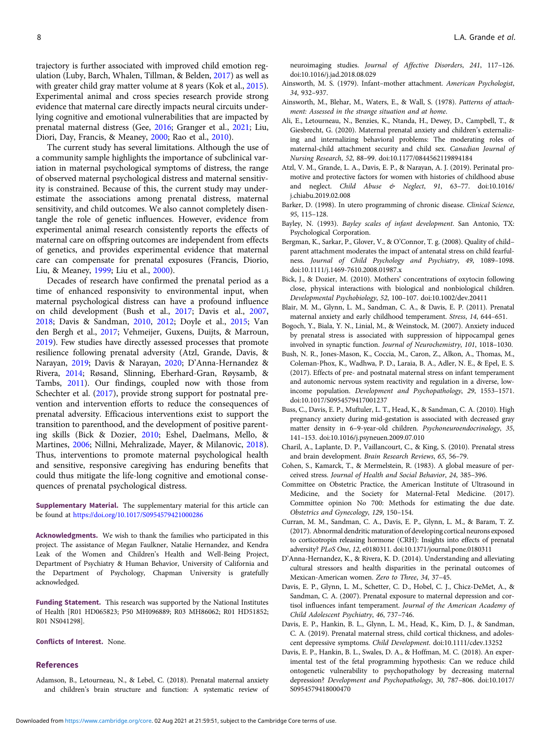<span id="page-9-0"></span>trajectory is further associated with improved child emotion regulation (Luby, Barch, Whalen, Tillman, & Belden, [2017](#page-10-0)) as well as with greater child gray matter volume at 8 years (Kok et al., [2015\)](#page-10-0). Experimental animal and cross species research provide strong evidence that maternal care directly impacts neural circuits underlying cognitive and emotional vulnerabilities that are impacted by prenatal maternal distress (Gee, [2016;](#page-10-0) Granger et al., [2021](#page-10-0); Liu, Diori, Day, Francis, & Meaney, [2000;](#page-10-0) Rao et al., [2010](#page-11-0)).

The current study has several limitations. Although the use of a community sample highlights the importance of subclinical variation in maternal psychological symptoms of distress, the range of observed maternal psychological distress and maternal sensitivity is constrained. Because of this, the current study may underestimate the associations among prenatal distress, maternal sensitivity, and child outcomes. We also cannot completely disentangle the role of genetic influences. However, evidence from experimental animal research consistently reports the effects of maternal care on offspring outcomes are independent from effects of genetics, and provides experimental evidence that maternal care can compensate for prenatal exposures (Francis, Diorio, Liu, & Meaney, [1999](#page-10-0); Liu et al., [2000](#page-10-0)).

Decades of research have confirmed the prenatal period as a time of enhanced responsivity to environmental input, when maternal psychological distress can have a profound influence on child development (Bush et al., 2017; Davis et al., 2007, 2018; Davis & Sandman, [2010](#page-10-0), [2012](#page-10-0); Doyle et al., [2015](#page-10-0); Van den Bergh et al., [2017](#page-11-0); Vehmeijer, Guxens, Duijts, & Marroun, [2019\)](#page-11-0). Few studies have directly assessed processes that promote resilience following prenatal adversity (Atzl, Grande, Davis, & Narayan, 2019; Davis & Narayan, [2020;](#page-10-0) D'Anna-Hernandez & Rivera, 2014; Røsand, Slinning, Eberhard-Gran, Røysamb, & Tambs, [2011](#page-11-0)). Our findings, coupled now with those from Schechter et al. [\(2017](#page-11-0)), provide strong support for postnatal prevention and intervention efforts to reduce the consequences of prenatal adversity. Efficacious interventions exist to support the transition to parenthood, and the development of positive parenting skills (Bick & Dozier, 2010; Eshel, Daelmans, Mello, & Martines, [2006](#page-10-0); Nillni, Mehralizade, Mayer, & Milanovic, [2018\)](#page-11-0). Thus, interventions to promote maternal psychological health and sensitive, responsive caregiving has enduring benefits that could thus mitigate the life-long cognitive and emotional consequences of prenatal psychological distress.

Supplementary Material. The supplementary material for this article can be found at <https://doi.org/10.1017/S0954579421000286>

Acknowledgments. We wish to thank the families who participated in this project. The assistance of Megan Faulkner, Natalie Hernandez, and Kendra Leak of the Women and Children's Health and Well-Being Project, Department of Psychiatry & Human Behavior, University of California and the Department of Psychology, Chapman University is gratefully acknowledged.

Funding Statement. This research was supported by the National Institutes of Health [R01 HD065823; P50 MH096889; R03 MH86062; R01 HD51852; R01 NS041298].

#### Conflicts of Interest. None.

#### References

Adamson, B., Letourneau, N., & Lebel, C. (2018). Prenatal maternal anxiety and children's brain structure and function: A systematic review of neuroimaging studies. Journal of Affective Disorders, 241, 117–126. doi:10.1016/j.jad.2018.08.029

- Ainsworth, M. S. (1979). Infant–mother attachment. American Psychologist, 34, 932–937.
- Ainsworth, M., Blehar, M., Waters, E., & Wall, S. (1978). Patterns of attachment: Assessed in the strange situation and at home.
- Ali, E., Letourneau, N., Benzies, K., Ntanda, H., Dewey, D., Campbell, T., & Giesbrecht, G. (2020). Maternal prenatal anxiety and children's externalizing and internalizing behavioral problems: The moderating roles of maternal-child attachment security and child sex. Canadian Journal of Nursing Research, 52, 88–99. doi:10.1177/0844562119894184
- Atzl, V. M., Grande, L. A., Davis, E. P., & Narayan, A. J. (2019). Perinatal promotive and protective factors for women with histories of childhood abuse and neglect. Child Abuse & Neglect, 91, 63–77. doi:10.1016/ j.chiabu.2019.02.008
- Barker, D. (1998). In utero programming of chronic disease. Clinical Science, 95, 115–128.
- Bayley, N. (1993). Bayley scales of infant development. San Antonio, TX: Psychological Corporation.
- Bergman, K., Sarkar, P., Glover, V., & O'Connor, T. g. (2008). Quality of child– parent attachment moderates the impact of antenatal stress on child fearfulness. Journal of Child Psychology and Psychiatry, 49, 1089–1098. doi:10.1111/j.1469-7610.2008.01987.x
- Bick, J., & Dozier, M. (2010). Mothers' concentrations of oxytocin following close, physical interactions with biological and nonbiological children. Developmental Psychobiology, 52, 100–107. doi:10.1002/dev.20411
- Blair, M. M., Glynn, L. M., Sandman, C. A., & Davis, E. P. (2011). Prenatal maternal anxiety and early childhood temperament. Stress, 14, 644–651.
- Bogoch, Y., Biala, Y. N., Linial, M., & Weinstock, M. (2007). Anxiety induced by prenatal stress is associated with suppression of hippocampal genes involved in synaptic function. Journal of Neurochemistry, 101, 1018–1030.
- Bush, N. R., Jones-Mason, K., Coccia, M., Caron, Z., Alkon, A., Thomas, M., Coleman-Phox, K., Wadhwa, P. D., Laraia, B. A., Adler, N. E., & Epel, E. S. (2017). Effects of pre- and postnatal maternal stress on infant temperament and autonomic nervous system reactivity and regulation in a diverse, lowincome population. Development and Psychopathology, 29, 1553–1571. doi:10.1017/S0954579417001237
- Buss, C., Davis, E. P., Muftuler, L. T., Head, K., & Sandman, C. A. (2010). High pregnancy anxiety during mid-gestation is associated with decreased gray matter density in 6–9-year-old children. Psychoneuroendocrinology, 35, 141–153. doi:10.1016/j.psyneuen.2009.07.010
- Charil, A., Laplante, D. P., Vaillancourt, C., & King, S. (2010). Prenatal stress and brain development. Brain Research Reviews, 65, 56–79.
- Cohen, S., Kamarck, T., & Mermelstein, R. (1983). A global measure of perceived stress. Journal of Health and Social Behavior, 24, 385–396.
- Committee on Obstetric Practice, the American Institute of Ultrasound in Medicine, and the Society for Maternal-Fetal Medicine. (2017). Committee opinion No 700: Methods for estimating the due date. Obstetrics and Gynecology, 129, 150–154.
- Curran, M. M., Sandman, C. A., Davis, E. P., Glynn, L. M., & Baram, T. Z. (2017). Abnormal dendritic maturation of developing cortical neurons exposed to corticotropin releasing hormone (CRH): Insights into effects of prenatal adversity? PLoS One, 12, e0180311. doi:10.1371/journal.pone.0180311
- D'Anna-Hernandez, K., & Rivera, K. D. (2014). Understanding and alleviating cultural stressors and health disparities in the perinatal outcomes of Mexican-American women. Zero to Three, 34, 37–45.
- Davis, E. P., Glynn, L. M., Schetter, C. D., Hobel, C. J., Chicz-DeMet, A., & Sandman, C. A. (2007). Prenatal exposure to maternal depression and cortisol influences infant temperament. Journal of the American Academy of Child Adolescent Psychiatry, 46, 737–746.
- Davis, E. P., Hankin, B. L., Glynn, L. M., Head, K., Kim, D. J., & Sandman, C. A. (2019). Prenatal maternal stress, child cortical thickness, and adolescent depressive symptoms. Child Development. doi:10.1111/cdev.13252
- Davis, E. P., Hankin, B. L., Swales, D. A., & Hoffman, M. C. (2018). An experimental test of the fetal programming hypothesis: Can we reduce child ontogenetic vulnerability to psychopathology by decreasing maternal depression? Development and Psychopathology, 30, 787–806. doi:10.1017/ S0954579418000470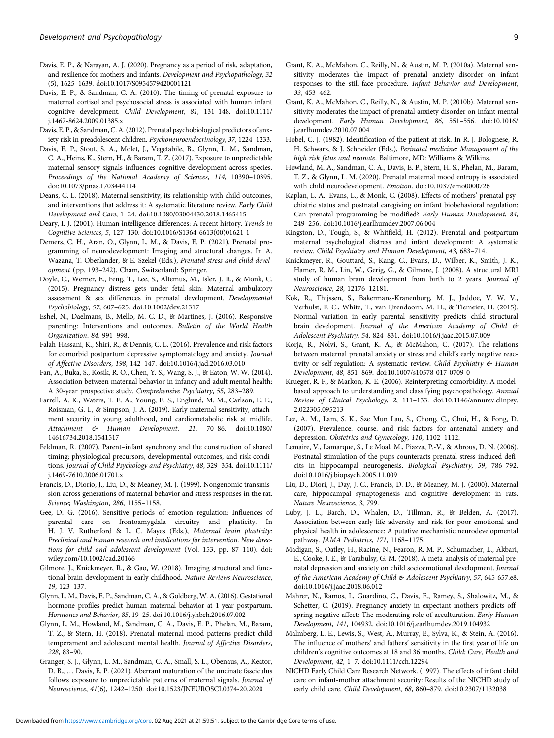- <span id="page-10-0"></span>Davis, E. P., & Narayan, A. J. (2020). Pregnancy as a period of risk, adaptation, and resilience for mothers and infants. Development and Psychopathology, 32 (5), 1625–1639. doi:10.1017/S0954579420001121
- Davis, E. P., & Sandman, C. A. (2010). The timing of prenatal exposure to maternal cortisol and psychosocial stress is associated with human infant cognitive development. Child Development, 81, 131–148. doi:10.1111/ j.1467-8624.2009.01385.x

Davis, E. P., & Sandman, C. A. (2012). Prenatal psychobiological predictors of anxiety risk in preadolescent children. Psychoneuroendocrinology, 37, 1224–1233.

- Davis, E. P., Stout, S. A., Molet, J., Vegetabile, B., Glynn, L. M., Sandman, C. A., Heins, K., Stern, H., & Baram, T. Z. (2017). Exposure to unpredictable maternal sensory signals influences cognitive development across species. Proceedings of the National Academy of Sciences, 114, 10390–10395. doi:10.1073/pnas.1703444114
- Deans, C. L. (2018). Maternal sensitivity, its relationship with child outcomes, and interventions that address it: A systematic literature review. Early Child Development and Care, 1–24. doi:10.1080/03004430.2018.1465415

Deary, I. J. (2001). Human intelligence differences: A recent history. Trends in Cognitive Sciences, 5, 127–130. doi:10.1016/S1364-6613(00)01621-1

- Demers, C. H., Aran, O., Glynn, L. M., & Davis, E. P. (2021). Prenatal programming of neurodevelopment: Imaging and structural changes. In A. Wazana, T. Oberlander, & E. Szekel (Eds.), Prenatal stress and child development (pp. 193–242). Cham, Switzerland: Springer.
- Doyle, C., Werner, E., Feng, T., Lee, S., Altemus, M., Isler, J. R., & Monk, C. (2015). Pregnancy distress gets under fetal skin: Maternal ambulatory assessment & sex differences in prenatal development. Developmental Psychobiology, 57, 607–625. doi:10.1002/dev.21317
- Eshel, N., Daelmans, B., Mello, M. C. D., & Martines, J. (2006). Responsive parenting: Interventions and outcomes. Bulletin of the World Health Organization, 84, 991–998.
- Falah-Hassani, K., Shiri, R., & Dennis, C. L. (2016). Prevalence and risk factors for comorbid postpartum depressive symptomatology and anxiety. Journal of Affective Disorders, 198, 142–147. doi:10.1016/j.jad.2016.03.010
- Fan, A., Buka, S., Kosik, R. O., Chen, Y. S., Wang, S. J., & Eaton, W. W. (2014). Association between maternal behavior in infancy and adult mental health: A 30-year prospective study. Comprehensive Psychiatry, 55, 283–289.
- Farrell, A. K., Waters, T. E. A., Young, E. S., Englund, M. M., Carlson, E. E., Roisman, G. I., & Simpson, J. A. (2019). Early maternal sensitivity, attachment security in young adulthood, and cardiometabolic risk at midlife. Attachment & Human Development, 21, 70–86. doi:10.1080/ 14616734.2018.1541517
- Feldman, R. (2007). Parent–infant synchrony and the construction of shared timing; physiological precursors, developmental outcomes, and risk conditions. Journal of Child Psychology and Psychiatry, 48, 329–354. doi:10.1111/ j.1469-7610.2006.01701.x
- Francis, D., Diorio, J., Liu, D., & Meaney, M. J. (1999). Nongenomic transmission across generations of maternal behavior and stress responses in the rat. Science; Washington, 286, 1155–1158.
- Gee, D. G. (2016). Sensitive periods of emotion regulation: Influences of parental care on frontoamygdala circuitry and plasticity. In H. J. V. Rutherford & L. C. Mayes (Eds.), Maternal brain plasticity: Preclinical and human research and implications for intervention. New directions for child and adolescent development (Vol. 153, pp. 87–110). doi: wiley.com/10.1002/cad.20166
- Gilmore, J., Knickmeyer, R., & Gao, W. (2018). Imaging structural and functional brain development in early childhood. Nature Reviews Neuroscience, 19, 123–137.
- Glynn, L. M., Davis, E. P., Sandman, C. A., & Goldberg, W. A. (2016). Gestational hormone profiles predict human maternal behavior at 1-year postpartum. Hormones and Behavior, 85, 19–25. doi:10.1016/j.yhbeh.2016.07.002
- Glynn, L. M., Howland, M., Sandman, C. A., Davis, E. P., Phelan, M., Baram, T. Z., & Stern, H. (2018). Prenatal maternal mood patterns predict child temperament and adolescent mental health. Journal of Affective Disorders, 228, 83–90.
- Granger, S. J., Glynn, L. M., Sandman, C. A., Small, S. L., Obenaus, A., Keator, D. B., … Davis, E. P. (2021). Aberrant maturation of the uncinate fasciculus follows exposure to unpredictable patterns of maternal signals. Journal of Neuroscience, 41(6), 1242–1250. doi:10.1523/JNEUROSCI.0374-20.2020
- Grant, K. A., McMahon, C., Reilly, N., & Austin, M. P. (2010a). Maternal sensitivity moderates the impact of prenatal anxiety disorder on infant responses to the still-face procedure. Infant Behavior and Development, 33, 453–462.
- Grant, K. A., McMahon, C., Reilly, N., & Austin, M. P. (2010b). Maternal sensitivity moderates the impact of prenatal anxiety disorder on infant mental development. Early Human Development, 86, 551–556. doi:10.1016/ j.earlhumdev.2010.07.004
- Hobel, C. J. (1982). Identification of the patient at risk. In R. J. Bolognese, R. H. Schwarz, & J. Schneider (Eds.), Perinatal medicine: Management of the high risk fetus and neonate. Baltimore, MD: Williams & Wilkins.
- Howland, M. A., Sandman, C. A., Davis, E. P., Stern, H. S., Phelan, M., Baram, T. Z., & Glynn, L. M. (2020). Prenatal maternal mood entropy is associated with child neurodevelopment. Emotion. doi:10.1037/emo0000726
- Kaplan, L. A., Evans, L., & Monk, C. (2008). Effects of mothers' prenatal psychiatric status and postnatal caregiving on infant biobehavioral regulation: Can prenatal programming be modified? Early Human Development, 84, 249–256. doi:10.1016/j.earlhumdev.2007.06.004
- Kingston, D., Tough, S., & Whitfield, H. (2012). Prenatal and postpartum maternal psychological distress and infant development: A systematic review. Child Psychiatry and Human Development, 43, 683–714.
- Knickmeyer, R., Gouttard, S., Kang, C., Evans, D., Wilber, K., Smith, J. K., Hamer, R. M., Lin, W., Gerig, G., & Gilmore, J. (2008). A structural MRI study of human brain development from birth to 2 years. Journal of Neuroscience, 28, 12176–12181.
- Kok, R., Thijssen, S., Bakermans-Kranenburg, M. J., Jaddoe, V. W. V., Verhulst, F. C., White, T., van IJzendoorn, M. H., & Tiemeier, H. (2015). Normal variation in early parental sensitivity predicts child structural brain development. Journal of the American Academy of Child & Adolescent Psychiatry, 54, 824–831. doi:10.1016/j.jaac.2015.07.009
- Korja, R., Nolvi, S., Grant, K. A., & McMahon, C. (2017). The relations between maternal prenatal anxiety or stress and child's early negative reactivity or self-regulation: A systematic review. Child Psychiatry & Human Development, 48, 851–869. doi:10.1007/s10578-017-0709-0
- Krueger, R. F., & Markon, K. E. (2006). Reinterpreting comorbidity: A modelbased approach to understanding and classifying psychopathology. Annual Review of Clinical Psychology, 2, 111–133. doi:10.1146/annurev.clinpsy. 2.022305.095213
- Lee, A. M., Lam, S. K., Sze Mun Lau, S., Chong, C., Chui, H., & Fong, D. (2007). Prevalence, course, and risk factors for antenatal anxiety and depression. Obstetrics and Gynecology, 110, 1102–1112.
- Lemaire, V., Lamarque, S., Le Moal, M., Piazza, P.-V., & Abrous, D. N. (2006). Postnatal stimulation of the pups counteracts prenatal stress-induced deficits in hippocampal neurogenesis. Biological Psychiatry, 59, 786–792. doi:10.1016/j.biopsych.2005.11.009
- Liu, D., Diori, J., Day, J. C., Francis, D. D., & Meaney, M. J. (2000). Maternal care, hippocampal synaptogenesis and cognitive development in rats. Nature Neuroscience, 3, 799.
- Luby, J. L., Barch, D., Whalen, D., Tillman, R., & Belden, A. (2017). Association between early life adversity and risk for poor emotional and physical health in adolescence: A putative mechanistic neurodevelopmental pathway. JAMA Pediatrics, 171, 1168–1175.
- Madigan, S., Oatley, H., Racine, N., Fearon, R. M. P., Schumacher, L., Akbari, E., Cooke, J. E., & Tarabulsy, G. M. (2018). A meta-analysis of maternal prenatal depression and anxiety on child socioemotional development. Journal of the American Academy of Child & Adolescent Psychiatry, 57, 645-657.e8. doi:10.1016/j.jaac.2018.06.012
- Mahrer, N., Ramos, I., Guardino, C., Davis, E., Ramey, S., Shalowitz, M., & Schetter, C. (2019). Pregnancy anxiety in expectant mothers predicts offspring negative affect: The moderating role of acculturation. Early Human Development, 141, 104932. doi:10.1016/j.earlhumdev.2019.104932
- Malmberg, L. E., Lewis, S., West, A., Murray, E., Sylva, K., & Stein, A. (2016). The influence of mothers' and fathers' sensitivity in the first year of life on children's cognitive outcomes at 18 and 36 months. Child: Care, Health and Development, 42, 1–7. doi:10.1111/cch.12294
- NICHD Early Child Care Research Network. (1997). The effects of infant child care on infant-mother attachment security: Results of the NICHD study of early child care. Child Development, 68, 860–879. doi:10.2307/1132038